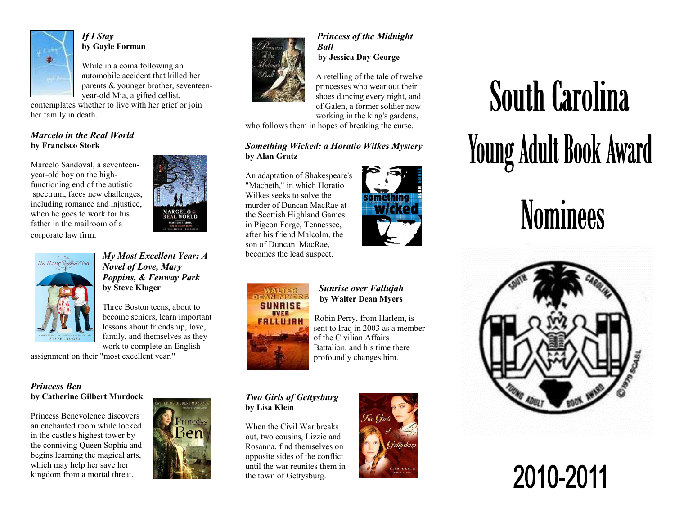

*If I Stay* **by Gayle Forman**

While in a coma following an automobile accident that killed her parents & younger brother, seventeenyear-old Mia, a gifted cellist,

 contemplates whether to live with her grief or joinher family in death.

#### *Marcelo in the Real World* **by Francisco Stork**

Marcelo Sandoval, a seventeenyear-old boy on the highfunctioning end of the autistic spectrum, faces new challenges, including romance and injustice, when he goes to work for his father in the mailroom of a corporate law firm.





*My Most Excellent Year: A Novel of Love, Mary Poppins, & Fenway Park* **by Steve Kluger** 

Three Boston teens, about to become seniors, learn important lessons about friendship, love, family, and themselves as they work to complete an English

assignment on their "most excellent year."

# *Princess Ben* **by Catherine Gilbert Murdock**

Princess Benevolence discovers an enchanted room while locked in the castle's highest tower by the conniving Queen Sophia and begins learning the magical arts, which may help her save her kingdom from a mortal threat.





## *Princess of the Midnight Ball by Jessica Day George*

 A retelling of the tale of twelve princesses who wear out their shoes dancing every night, and of Galen, a former soldier now working in the king's gardens,

who follows them in hopes of breaking the curse.

# *Something Wicked: a Horatio Wilkes Mystery* **by Alan Gratz**

An adaptation of Shakespeare's "Macbeth," in which Horatio Wilkes seeks to solve the murder of Duncan MacRae at the Scottish Highland Games in Pigeon Forge, Tennessee, after his friend Malcolm, the son of Duncan MacRae, becomes the lead suspect.





#### *Sunrise over Fallujah* **by Walter Dean Myers**

Robin Perry, from Harlem, is sent to Iraq in 2003 as a member of the Civilian Affairs Battalion, and his time there profoundly changes him.

### *Two Girls of Gettysburg* **by Lisa Klein**

When the Civil War breaks out, two cousins, Lizzie and Rosanna, find themselves on opposite sides of the conflict until the war reunites them in the town of Gettysburg.



# **South Carolina Young Adult Book Award**

# **Nominees**